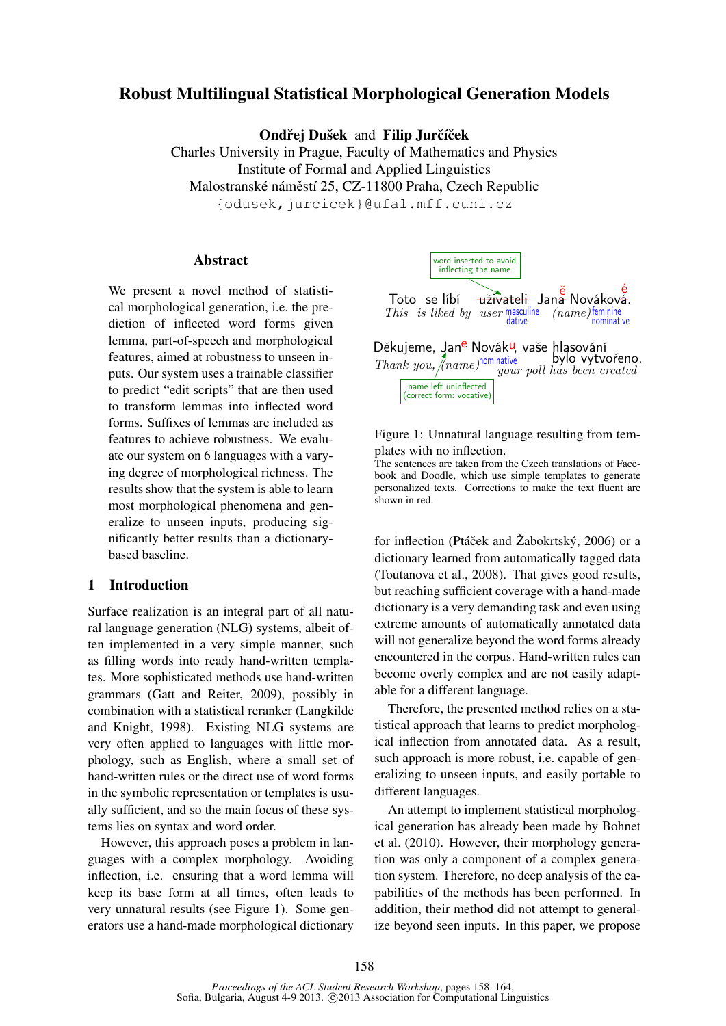# Robust Multilingual Statistical Morphological Generation Models

Ondřej Dušek and Filip Jurčíček

Charles University in Prague, Faculty of Mathematics and Physics Institute of Formal and Applied Linguistics Malostranské náměstí 25, CZ-11800 Praha, Czech Republic {odusek,jurcicek}@ufal.mff.cuni.cz

### Abstract

We present a novel method of statistical morphological generation, i.e. the prediction of inflected word forms given lemma, part-of-speech and morphological features, aimed at robustness to unseen inputs. Our system uses a trainable classifier to predict "edit scripts" that are then used to transform lemmas into inflected word forms. Suffixes of lemmas are included as features to achieve robustness. We evaluate our system on 6 languages with a varying degree of morphological richness. The results show that the system is able to learn most morphological phenomena and generalize to unseen inputs, producing significantly better results than a dictionarybased baseline.

# 1 Introduction

Surface realization is an integral part of all natural language generation (NLG) systems, albeit often implemented in a very simple manner, such as filling words into ready hand-written templates. More sophisticated methods use hand-written grammars (Gatt and Reiter, 2009), possibly in combination with a statistical reranker (Langkilde and Knight, 1998). Existing NLG systems are very often applied to languages with little morphology, such as English, where a small set of hand-written rules or the direct use of word forms in the symbolic representation or templates is usually sufficient, and so the main focus of these systems lies on syntax and word order.

However, this approach poses a problem in languages with a complex morphology. Avoiding inflection, i.e. ensuring that a word lemma will keep its base form at all times, often leads to very unnatural results (see Figure 1). Some generators use a hand-made morphological dictionary



Figure 1: Unnatural language resulting from templates with no inflection.

The sentences are taken from the Czech translations of Facebook and Doodle, which use simple templates to generate personalized texts. Corrections to make the text fluent are shown in red.

for inflection (Ptáček and Žabokrtský, 2006) or a dictionary learned from automatically tagged data (Toutanova et al., 2008). That gives good results, but reaching sufficient coverage with a hand-made dictionary is a very demanding task and even using extreme amounts of automatically annotated data will not generalize beyond the word forms already encountered in the corpus. Hand-written rules can become overly complex and are not easily adaptable for a different language.

Therefore, the presented method relies on a statistical approach that learns to predict morphological inflection from annotated data. As a result, such approach is more robust, i.e. capable of generalizing to unseen inputs, and easily portable to different languages.

An attempt to implement statistical morphological generation has already been made by Bohnet et al. (2010). However, their morphology generation was only a component of a complex generation system. Therefore, no deep analysis of the capabilities of the methods has been performed. In addition, their method did not attempt to generalize beyond seen inputs. In this paper, we propose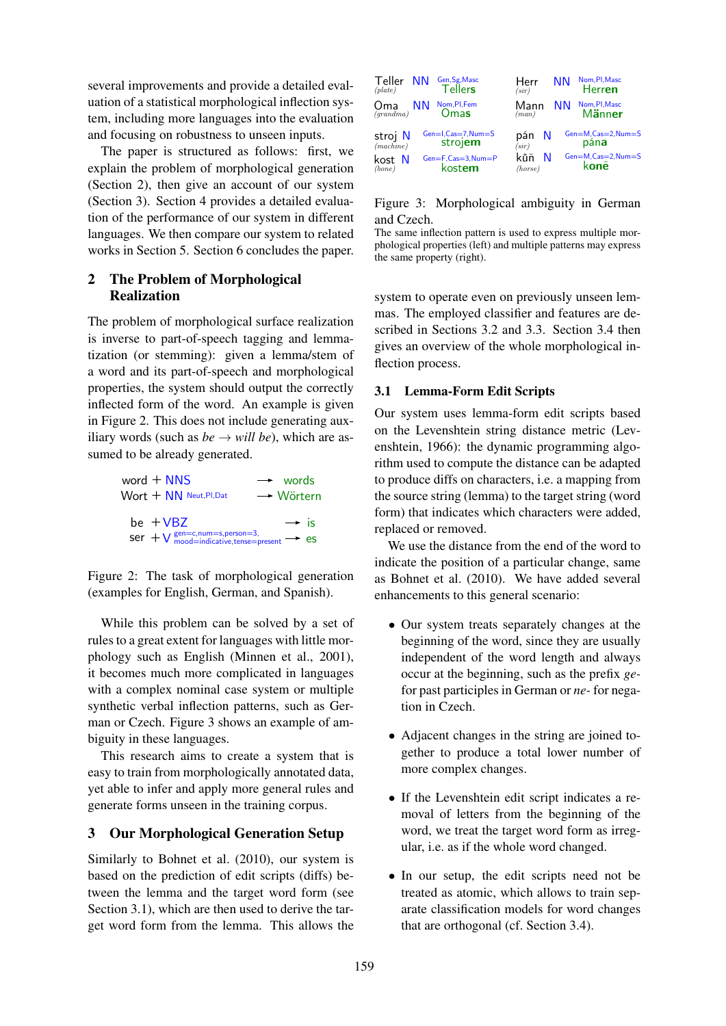several improvements and provide a detailed evaluation of a statistical morphological inflection system, including more languages into the evaluation and focusing on robustness to unseen inputs.

The paper is structured as follows: first, we explain the problem of morphological generation (Section 2), then give an account of our system (Section 3). Section 4 provides a detailed evaluation of the performance of our system in different languages. We then compare our system to related works in Section 5. Section 6 concludes the paper.

# 2 The Problem of Morphological Realization

The problem of morphological surface realization is inverse to part-of-speech tagging and lemmatization (or stemming): given a lemma/stem of a word and its part-of-speech and morphological properties, the system should output the correctly inflected form of the word. An example is given in Figure 2. This does not include generating auxiliary words (such as  $be \rightarrow$  *will be*), which are assumed to be already generated. and (occidential or a proposition of the proposition of the proposition of the proposition of the proposition of the proposition of the proposition of the proposition of the proposition of the strong section of the strong

| $\rightarrow$ words                                                                                                                     |
|-----------------------------------------------------------------------------------------------------------------------------------------|
| $\rightarrow$ Wörtern                                                                                                                   |
|                                                                                                                                         |
| $\rightarrow$ is                                                                                                                        |
| $\mathsf{ser} + \mathsf{V}$ $\frac{\text{gen} = \text{c}, \text{num} = \text{s}, \text{person} = 3,}{\text{model}}$<br>$\rightarrow$ es |
|                                                                                                                                         |

Figure 2: The task of morphological generation (examples for English, German, and Spanish).

While this problem can be solved by a set of rules to a great extent for languages with little morphology such as English (Minnen et al., 2001), it becomes much more complicated in languages with a complex nominal case system or multiple synthetic verbal inflection patterns, such as German or Czech. Figure 3 shows an example of ambiguity in these languages.

This research aims to create a system that is easy to train from morphologically annotated data, yet able to infer and apply more general rules and generate forms unseen in the training corpus.

# 3 Our Morphological Generation Setup

Similarly to Bohnet et al. (2010), our system is based on the prediction of edit scripts (diffs) between the lemma and the target word form (see Section 3.1), which are then used to derive the tar-

| Teller<br>(plate)    | Gen, Sg, Masc<br><b>NN</b><br><b>Tellers</b>  | Herr<br>(sir)       | ΝN        | Nom, PI, Masc<br><b>Herren</b> |
|----------------------|-----------------------------------------------|---------------------|-----------|--------------------------------|
| Oma<br>(grandma)     | Nom, PI, Fem<br><b>NN</b><br>Omas             | Mann<br>(man)       | <b>NN</b> | Nom, PI, Masc<br>Männer        |
| stroj N<br>(machine) | $Gen=I, Cas=7, Num=S$<br>strojem              | pán<br>- N<br>(sir) |           | $Gen=M.Cas=2,Num=S$<br>pána    |
| kost N<br>(bone)     | $Gen = F, Cas = 3, Num = P$<br>kost <b>em</b> | kůň<br>N<br>(horse) |           | $Gen=M,Cas=2,Num=S$<br>koně    |

Figure 3: Morphological ambiguity in German and Czech.

system to operate even on previously unseen lemmas. The employed classifier and features are described in Sections 3.2 and 3.3. Section 3.4 then gives an overview of the whole morphological inflection process.

### 3.1 Lemma-Form Edit Scripts

Our system uses lemma-form edit scripts based on the Levenshtein string distance metric (Levenshtein, 1966): the dynamic programming algorithm used to compute the distance can be adapted to produce diffs on characters, i.e. a mapping from the source string (lemma) to the target string (word form) that indicates which characters were added, replaced or removed.

We use the distance from the end of the word to indicate the position of a particular change, same as Bohnet et al. (2010). We have added several enhancements to this general scenario:

- Our system treats separately changes at the beginning of the word, since they are usually independent of the word length and always occur at the beginning, such as the prefix *ge*for past participles in German or *ne-* for negation in Czech.
- Adjacent changes in the string are joined together to produce a total lower number of more complex changes.
- If the Levenshtein edit script indicates a removal of letters from the beginning of the word, we treat the target word form as irregular, i.e. as if the whole word changed.
- In our setup, the edit scripts need not be treated as atomic, which allows to train separate classification models for word changes that are orthogonal (cf. Section 3.4).

The same inflection pattern is used to express multiple morphological properties (left) and multiple patterns may express the same property (right).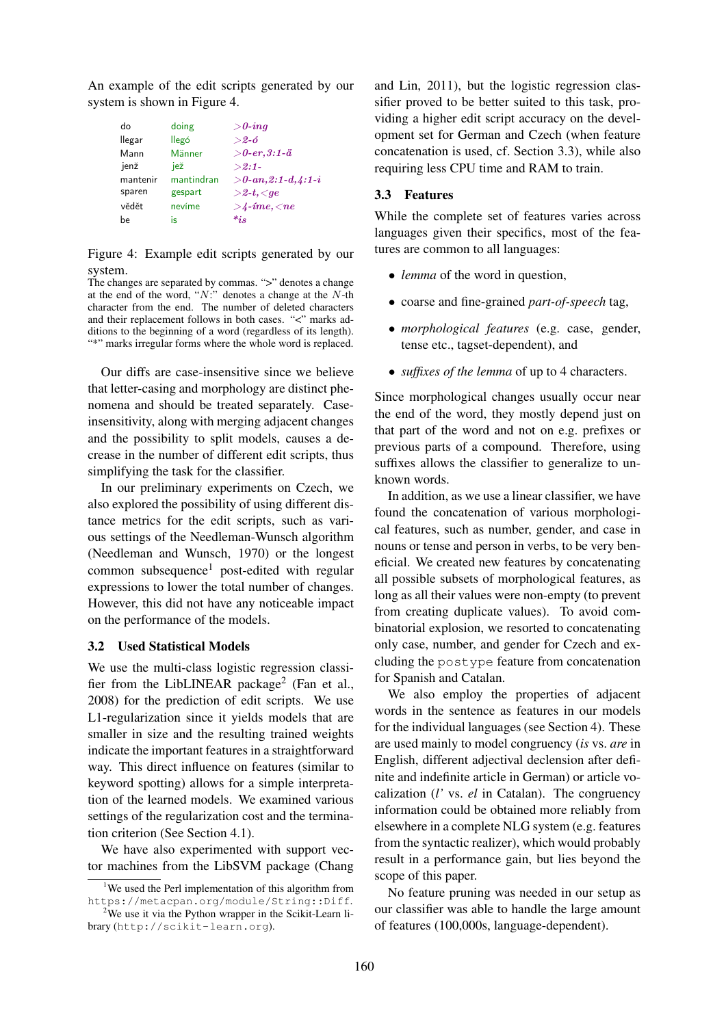An example of the edit scripts generated by our system is shown in Figure 4.

| do       | doing      | $>0$ -ing               |
|----------|------------|-------------------------|
| llegar   | llegó      | $>2-\delta$             |
| Mann     | Männer     | $>0$ -er, $3:1$ -ä      |
| jenž     | jež        | $>2:1-$                 |
| mantenir | mantindran | $> 0$ -an, 2:1-d, 4:1-i |
| sparen   | gespart    | $>$ 2-t, $<$ ge         |
| vědět    | nevíme     | $\geq$ 4-ime, $\lt$ ne  |
| he       | I٢         | $*_{{\it i}{\it s}}$    |

Figure 4: Example edit scripts generated by our system.

The changes are separated by commas. ">" denotes a change at the end of the word, " $N$ :" denotes a change at the  $N$ -th character from the end. The number of deleted characters and their replacement follows in both cases. "<" marks additions to the beginning of a word (regardless of its length). "\*" marks irregular forms where the whole word is replaced.

Our diffs are case-insensitive since we believe that letter-casing and morphology are distinct phenomena and should be treated separately. Caseinsensitivity, along with merging adjacent changes and the possibility to split models, causes a decrease in the number of different edit scripts, thus simplifying the task for the classifier.

In our preliminary experiments on Czech, we also explored the possibility of using different distance metrics for the edit scripts, such as various settings of the Needleman-Wunsch algorithm (Needleman and Wunsch, 1970) or the longest common subsequence<sup>1</sup> post-edited with regular expressions to lower the total number of changes. However, this did not have any noticeable impact on the performance of the models.

### 3.2 Used Statistical Models

We use the multi-class logistic regression classifier from the LibLINEAR package<sup>2</sup> (Fan et al., 2008) for the prediction of edit scripts. We use L1-regularization since it yields models that are smaller in size and the resulting trained weights indicate the important features in a straightforward way. This direct influence on features (similar to keyword spotting) allows for a simple interpretation of the learned models. We examined various settings of the regularization cost and the termination criterion (See Section 4.1).

We have also experimented with support vector machines from the LibSVM package (Chang

and Lin, 2011), but the logistic regression classifier proved to be better suited to this task, providing a higher edit script accuracy on the development set for German and Czech (when feature concatenation is used, cf. Section 3.3), while also requiring less CPU time and RAM to train.

# 3.3 Features

While the complete set of features varies across languages given their specifics, most of the features are common to all languages:

- *lemma* of the word in question,
- coarse and fine-grained *part-of-speech* tag,
- *morphological features* (e.g. case, gender, tense etc., tagset-dependent), and
- *suffixes of the lemma* of up to 4 characters.

Since morphological changes usually occur near the end of the word, they mostly depend just on that part of the word and not on e.g. prefixes or previous parts of a compound. Therefore, using suffixes allows the classifier to generalize to unknown words.

In addition, as we use a linear classifier, we have found the concatenation of various morphological features, such as number, gender, and case in nouns or tense and person in verbs, to be very beneficial. We created new features by concatenating all possible subsets of morphological features, as long as all their values were non-empty (to prevent from creating duplicate values). To avoid combinatorial explosion, we resorted to concatenating only case, number, and gender for Czech and excluding the postype feature from concatenation for Spanish and Catalan.

We also employ the properties of adjacent words in the sentence as features in our models for the individual languages (see Section 4). These are used mainly to model congruency (*is* vs. *are* in English, different adjectival declension after definite and indefinite article in German) or article vocalization (*l'* vs. *el* in Catalan). The congruency information could be obtained more reliably from elsewhere in a complete NLG system (e.g. features from the syntactic realizer), which would probably result in a performance gain, but lies beyond the scope of this paper.

No feature pruning was needed in our setup as our classifier was able to handle the large amount of features (100,000s, language-dependent).

<sup>&</sup>lt;sup>1</sup>We used the Perl implementation of this algorithm from https://metacpan.org/module/String::Diff. <sup>2</sup>We use it via the Python wrapper in the Scikit-Learn li-

brary (http://scikit-learn.org).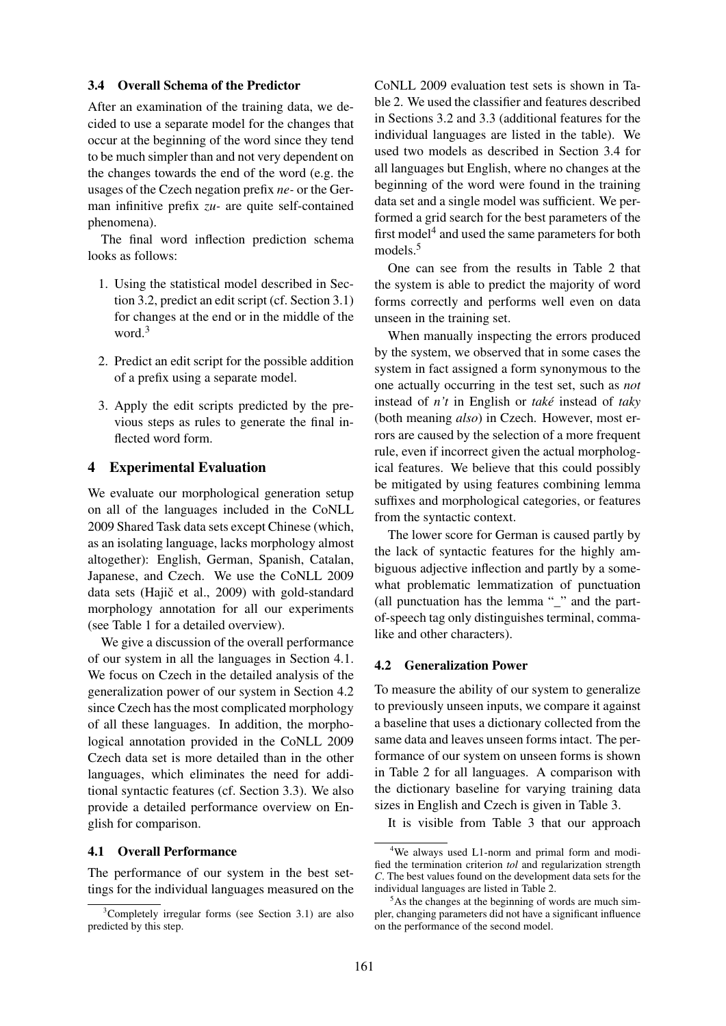#### 3.4 Overall Schema of the Predictor

After an examination of the training data, we decided to use a separate model for the changes that occur at the beginning of the word since they tend to be much simpler than and not very dependent on the changes towards the end of the word (e.g. the usages of the Czech negation prefix *ne-* or the German infinitive prefix *zu-* are quite self-contained phenomena).

The final word inflection prediction schema looks as follows:

- 1. Using the statistical model described in Section 3.2, predict an edit script (cf. Section 3.1) for changes at the end or in the middle of the word  $3$
- 2. Predict an edit script for the possible addition of a prefix using a separate model.
- 3. Apply the edit scripts predicted by the previous steps as rules to generate the final inflected word form.

#### 4 Experimental Evaluation

We evaluate our morphological generation setup on all of the languages included in the CoNLL 2009 Shared Task data sets except Chinese (which, as an isolating language, lacks morphology almost altogether): English, German, Spanish, Catalan, Japanese, and Czech. We use the CoNLL 2009 data sets (Hajič et al., 2009) with gold-standard morphology annotation for all our experiments (see Table 1 for a detailed overview).

We give a discussion of the overall performance of our system in all the languages in Section 4.1. We focus on Czech in the detailed analysis of the generalization power of our system in Section 4.2 since Czech has the most complicated morphology of all these languages. In addition, the morphological annotation provided in the CoNLL 2009 Czech data set is more detailed than in the other languages, which eliminates the need for additional syntactic features (cf. Section 3.3). We also provide a detailed performance overview on English for comparison.

#### 4.1 Overall Performance

The performance of our system in the best settings for the individual languages measured on the CoNLL 2009 evaluation test sets is shown in Table 2. We used the classifier and features described in Sections 3.2 and 3.3 (additional features for the individual languages are listed in the table). We used two models as described in Section 3.4 for all languages but English, where no changes at the beginning of the word were found in the training data set and a single model was sufficient. We performed a grid search for the best parameters of the first model<sup>4</sup> and used the same parameters for both models<sup>5</sup>

One can see from the results in Table 2 that the system is able to predict the majority of word forms correctly and performs well even on data unseen in the training set.

When manually inspecting the errors produced by the system, we observed that in some cases the system in fact assigned a form synonymous to the one actually occurring in the test set, such as *not* instead of *n't* in English or *také* instead of *taky* (both meaning *also*) in Czech. However, most errors are caused by the selection of a more frequent rule, even if incorrect given the actual morphological features. We believe that this could possibly be mitigated by using features combining lemma suffixes and morphological categories, or features from the syntactic context.

The lower score for German is caused partly by the lack of syntactic features for the highly ambiguous adjective inflection and partly by a somewhat problematic lemmatization of punctuation (all punctuation has the lemma "\_" and the partof-speech tag only distinguishes terminal, commalike and other characters).

#### 4.2 Generalization Power

To measure the ability of our system to generalize to previously unseen inputs, we compare it against a baseline that uses a dictionary collected from the same data and leaves unseen forms intact. The performance of our system on unseen forms is shown in Table 2 for all languages. A comparison with the dictionary baseline for varying training data sizes in English and Czech is given in Table 3.

It is visible from Table 3 that our approach

<sup>&</sup>lt;sup>3</sup>Completely irregular forms (see Section 3.1) are also predicted by this step.

<sup>&</sup>lt;sup>4</sup>We always used L1-norm and primal form and modified the termination criterion *tol* and regularization strength *C*. The best values found on the development data sets for the individual languages are listed in Table 2.

 $5<sup>5</sup>$ As the changes at the beginning of words are much simpler, changing parameters did not have a significant influence on the performance of the second model.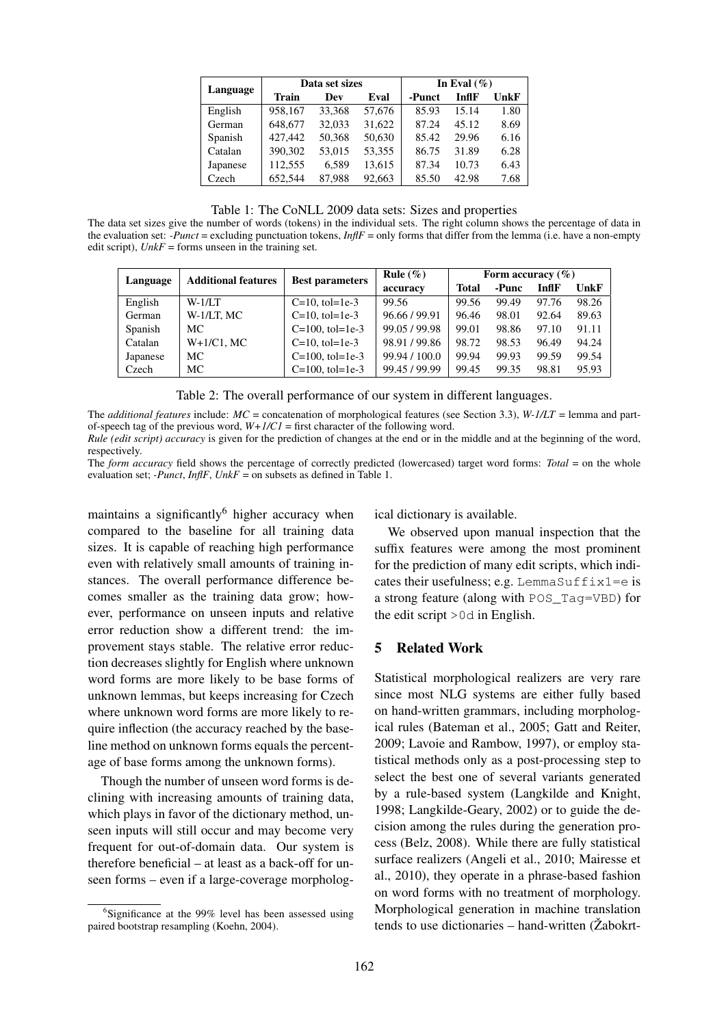| Language |         | Data set sizes |        | In Eval $(\%)$ |              |      |  |  |
|----------|---------|----------------|--------|----------------|--------------|------|--|--|
|          | Train   | Dev            | Eval   | -Punct         | <b>InflF</b> | UnkF |  |  |
| English  | 958.167 | 33.368         | 57,676 | 85.93          | 15.14        | 1.80 |  |  |
| German   | 648,677 | 32,033         | 31,622 | 87.24          | 45.12        | 8.69 |  |  |
| Spanish  | 427,442 | 50.368         | 50,630 | 85.42          | 29.96        | 6.16 |  |  |
| Catalan  | 390,302 | 53,015         | 53,355 | 86.75          | 31.89        | 6.28 |  |  |
| Japanese | 112,555 | 6.589          | 13,615 | 87.34          | 10.73        | 6.43 |  |  |
| Czech    | 652.544 | 87,988         | 92,663 | 85.50          | 42.98        | 7.68 |  |  |

|  |  | Table 1: The CoNLL 2009 data sets: Sizes and properties |
|--|--|---------------------------------------------------------|
|--|--|---------------------------------------------------------|

The data set sizes give the number of words (tokens) in the individual sets. The right column shows the percentage of data in the evaluation set: *-Punct* = excluding punctuation tokens, *InflF* = only forms that differ from the lemma (i.e. have a non-empty edit script),  $UnkF =$  forms unseen in the training set.

| Language | <b>Additional features</b> | <b>Best parameters</b> | Rule $(\% )$  | Form accuracy $(\% )$ |       |              |       |
|----------|----------------------------|------------------------|---------------|-----------------------|-------|--------------|-------|
|          |                            |                        | accuracy      | Total                 | -Punc | <b>InflF</b> | UnkF  |
| English  | $W-1/I.T$                  | $C=10$ , tol=1e-3      | 99.56         | 99.56                 | 99.49 | 97.76        | 98.26 |
| German   | W-1/LT, MC                 | $C=10$ , tol=1e-3      | 96.66 / 99.91 | 96.46                 | 98.01 | 92.64        | 89.63 |
| Spanish  | MC.                        | $C=100$ , tol=1e-3     | 99.05 / 99.98 | 99.01                 | 98.86 | 97.10        | 91.11 |
| Catalan  | $W+1/C1$ , MC              | $C=10$ , tol=1e-3      | 98.91/99.86   | 98.72                 | 98.53 | 96.49        | 94.24 |
| Japanese | MC.                        | $C=100$ , tol=1e-3     | 99.94 / 100.0 | 99.94                 | 99.93 | 99.59        | 99.54 |
| Czech    | MC.                        | $C=100$ , tol=1e-3     | 99.45 / 99.99 | 99.45                 | 99.35 | 98.81        | 95.93 |

Table 2: The overall performance of our system in different languages.

The *additional features* include: *MC* = concatenation of morphological features (see Section 3.3), *W-1/LT* = lemma and partof-speech tag of the previous word,  $W+1/CI$  = first character of the following word.

*Rule (edit script) accuracy* is given for the prediction of changes at the end or in the middle and at the beginning of the word, respectively.

The *form accuracy* field shows the percentage of correctly predicted (lowercased) target word forms: *Total* = on the whole evaluation set; *-Punct*, *InflF*, *UnkF* = on subsets as defined in Table 1.

maintains a significantly $6$  higher accuracy when compared to the baseline for all training data sizes. It is capable of reaching high performance even with relatively small amounts of training instances. The overall performance difference becomes smaller as the training data grow; however, performance on unseen inputs and relative error reduction show a different trend: the improvement stays stable. The relative error reduction decreases slightly for English where unknown word forms are more likely to be base forms of unknown lemmas, but keeps increasing for Czech where unknown word forms are more likely to require inflection (the accuracy reached by the baseline method on unknown forms equals the percentage of base forms among the unknown forms).

Though the number of unseen word forms is declining with increasing amounts of training data, which plays in favor of the dictionary method, unseen inputs will still occur and may become very frequent for out-of-domain data. Our system is therefore beneficial – at least as a back-off for unseen forms – even if a large-coverage morphological dictionary is available.

We observed upon manual inspection that the suffix features were among the most prominent for the prediction of many edit scripts, which indicates their usefulness; e.g. LemmaSuffix1=e is a strong feature (along with POS\_Tag=VBD) for the edit script >0d in English.

# 5 Related Work

Statistical morphological realizers are very rare since most NLG systems are either fully based on hand-written grammars, including morphological rules (Bateman et al., 2005; Gatt and Reiter, 2009; Lavoie and Rambow, 1997), or employ statistical methods only as a post-processing step to select the best one of several variants generated by a rule-based system (Langkilde and Knight, 1998; Langkilde-Geary, 2002) or to guide the decision among the rules during the generation process (Belz, 2008). While there are fully statistical surface realizers (Angeli et al., 2010; Mairesse et al., 2010), they operate in a phrase-based fashion on word forms with no treatment of morphology. Morphological generation in machine translation tends to use dictionaries – hand-written (Žabokrt-

<sup>&</sup>lt;sup>6</sup>Significance at the 99% level has been assessed using paired bootstrap resampling (Koehn, 2004).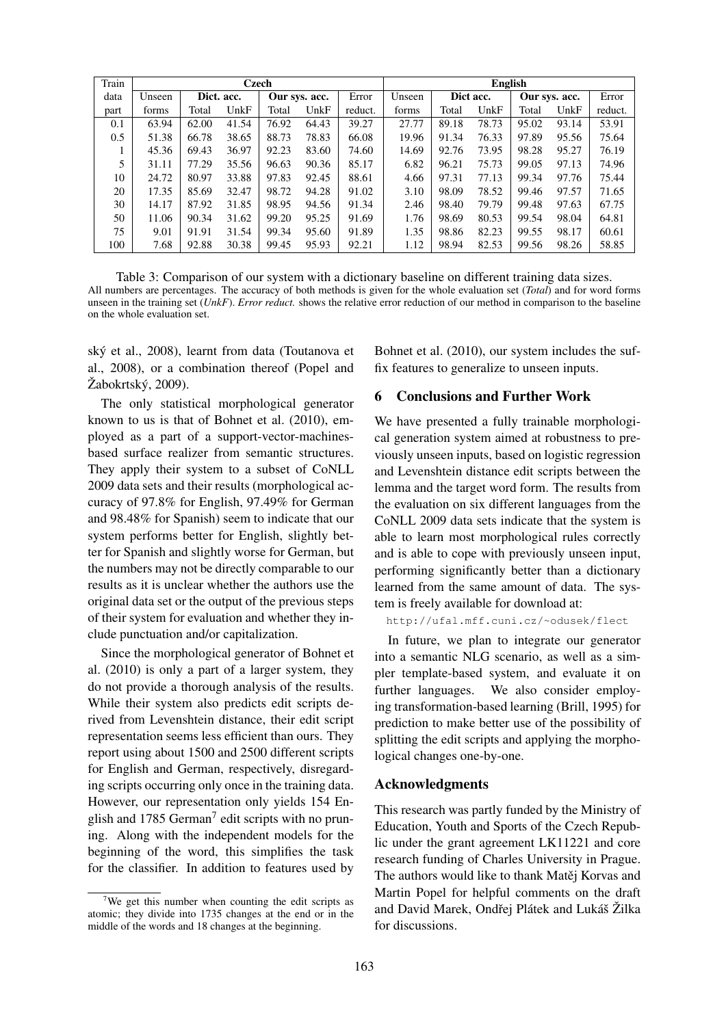| Train | Czech  |            |       |       |                  |         |        | <b>English</b> |           |       |               |         |
|-------|--------|------------|-------|-------|------------------|---------|--------|----------------|-----------|-------|---------------|---------|
| data  | Unseen | Dict. acc. |       |       | Our sys. acc.    |         | Unseen |                | Dict acc. |       | Our sys. acc. | Error   |
| part  | forms  | Total      | UnkF  | Total | $_{\text{UnkF}}$ | reduct. | forms  | Total          | UnkF      | Total | UnkF          | reduct. |
| 0.1   | 63.94  | 62.00      | 41.54 | 76.92 | 64.43            | 39.27   | 27.77  | 89.18          | 78.73     | 95.02 | 93.14         | 53.91   |
| 0.5   | 51.38  | 66.78      | 38.65 | 88.73 | 78.83            | 66.08   | 19.96  | 91.34          | 76.33     | 97.89 | 95.56         | 75.64   |
|       | 45.36  | 69.43      | 36.97 | 92.23 | 83.60            | 74.60   | 14.69  | 92.76          | 73.95     | 98.28 | 95.27         | 76.19   |
| 5     | 31.11  | 77.29      | 35.56 | 96.63 | 90.36            | 85.17   | 6.82   | 96.21          | 75.73     | 99.05 | 97.13         | 74.96   |
| 10    | 24.72  | 80.97      | 33.88 | 97.83 | 92.45            | 88.61   | 4.66   | 97.31          | 77.13     | 99.34 | 97.76         | 75.44   |
| 20    | 17.35  | 85.69      | 32.47 | 98.72 | 94.28            | 91.02   | 3.10   | 98.09          | 78.52     | 99.46 | 97.57         | 71.65   |
| 30    | 14.17  | 87.92      | 31.85 | 98.95 | 94.56            | 91.34   | 2.46   | 98.40          | 79.79     | 99.48 | 97.63         | 67.75   |
| 50    | 11.06  | 90.34      | 31.62 | 99.20 | 95.25            | 91.69   | 1.76   | 98.69          | 80.53     | 99.54 | 98.04         | 64.81   |
| 75    | 9.01   | 91.91      | 31.54 | 99.34 | 95.60            | 91.89   | 1.35   | 98.86          | 82.23     | 99.55 | 98.17         | 60.61   |
| 100   | 7.68   | 92.88      | 30.38 | 99.45 | 95.93            | 92.21   | 1.12   | 98.94          | 82.53     | 99.56 | 98.26         | 58.85   |

Table 3: Comparison of our system with a dictionary baseline on different training data sizes. All numbers are percentages. The accuracy of both methods is given for the whole evaluation set (*Total*) and for word forms unseen in the training set (*UnkF*). *Error reduct.* shows the relative error reduction of our method in comparison to the baseline on the whole evaluation set.

ský et al., 2008), learnt from data (Toutanova et al., 2008), or a combination thereof (Popel and Žabokrtský, 2009).

The only statistical morphological generator known to us is that of Bohnet et al. (2010), employed as a part of a support-vector-machinesbased surface realizer from semantic structures. They apply their system to a subset of CoNLL 2009 data sets and their results (morphological accuracy of 97.8% for English, 97.49% for German and 98.48% for Spanish) seem to indicate that our system performs better for English, slightly better for Spanish and slightly worse for German, but the numbers may not be directly comparable to our results as it is unclear whether the authors use the original data set or the output of the previous steps of their system for evaluation and whether they include punctuation and/or capitalization.

Since the morphological generator of Bohnet et al. (2010) is only a part of a larger system, they do not provide a thorough analysis of the results. While their system also predicts edit scripts derived from Levenshtein distance, their edit script representation seems less efficient than ours. They report using about 1500 and 2500 different scripts for English and German, respectively, disregarding scripts occurring only once in the training data. However, our representation only yields 154 English and 1785 German<sup>7</sup> edit scripts with no pruning. Along with the independent models for the beginning of the word, this simplifies the task for the classifier. In addition to features used by

<sup>7</sup>We get this number when counting the edit scripts as atomic; they divide into 1735 changes at the end or in the middle of the words and 18 changes at the beginning.

Bohnet et al. (2010), our system includes the suffix features to generalize to unseen inputs.

### 6 Conclusions and Further Work

We have presented a fully trainable morphological generation system aimed at robustness to previously unseen inputs, based on logistic regression and Levenshtein distance edit scripts between the lemma and the target word form. The results from the evaluation on six different languages from the CoNLL 2009 data sets indicate that the system is able to learn most morphological rules correctly and is able to cope with previously unseen input, performing significantly better than a dictionary learned from the same amount of data. The system is freely available for download at:

http://ufal.mff.cuni.cz/~odusek/flect

In future, we plan to integrate our generator into a semantic NLG scenario, as well as a simpler template-based system, and evaluate it on further languages. We also consider employing transformation-based learning (Brill, 1995) for prediction to make better use of the possibility of splitting the edit scripts and applying the morphological changes one-by-one.

# Acknowledgments

This research was partly funded by the Ministry of Education, Youth and Sports of the Czech Republic under the grant agreement LK11221 and core research funding of Charles University in Prague. The authors would like to thank Matěj Korvas and Martin Popel for helpful comments on the draft and David Marek, Ondřej Plátek and Lukáš Žilka for discussions.